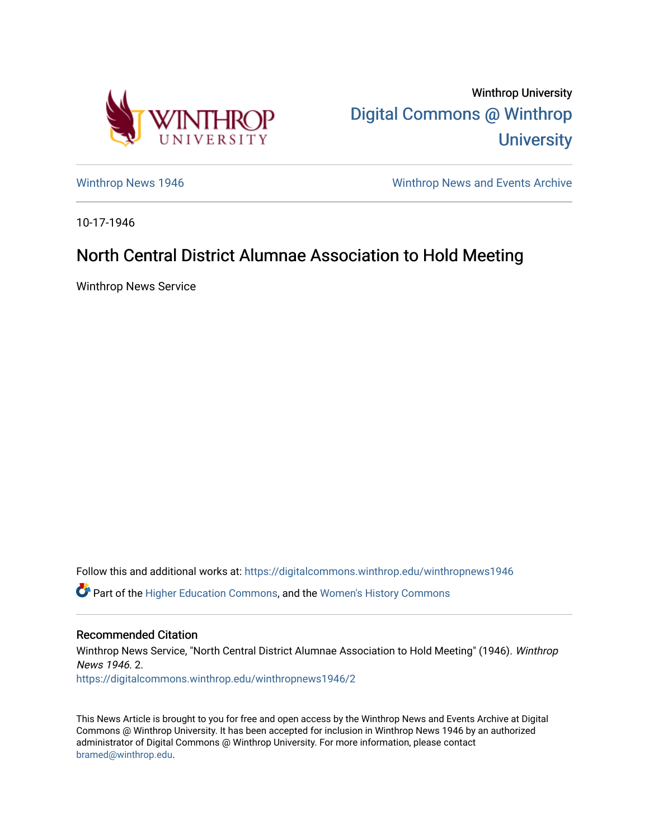

Winthrop University [Digital Commons @ Winthrop](https://digitalcommons.winthrop.edu/)  **University** 

[Winthrop News 1946](https://digitalcommons.winthrop.edu/winthropnews1946) Minthrop News and Events Archive

10-17-1946

## North Central District Alumnae Association to Hold Meeting

Winthrop News Service

Follow this and additional works at: [https://digitalcommons.winthrop.edu/winthropnews1946](https://digitalcommons.winthrop.edu/winthropnews1946?utm_source=digitalcommons.winthrop.edu%2Fwinthropnews1946%2F2&utm_medium=PDF&utm_campaign=PDFCoverPages)  Part of the [Higher Education Commons,](http://network.bepress.com/hgg/discipline/1245?utm_source=digitalcommons.winthrop.edu%2Fwinthropnews1946%2F2&utm_medium=PDF&utm_campaign=PDFCoverPages) and the [Women's History Commons](http://network.bepress.com/hgg/discipline/507?utm_source=digitalcommons.winthrop.edu%2Fwinthropnews1946%2F2&utm_medium=PDF&utm_campaign=PDFCoverPages) 

Recommended Citation Winthrop News Service, "North Central District Alumnae Association to Hold Meeting" (1946). Winthrop News 1946. 2. [https://digitalcommons.winthrop.edu/winthropnews1946/2](https://digitalcommons.winthrop.edu/winthropnews1946/2?utm_source=digitalcommons.winthrop.edu%2Fwinthropnews1946%2F2&utm_medium=PDF&utm_campaign=PDFCoverPages) 

This News Article is brought to you for free and open access by the Winthrop News and Events Archive at Digital Commons @ Winthrop University. It has been accepted for inclusion in Winthrop News 1946 by an authorized administrator of Digital Commons @ Winthrop University. For more information, please contact [bramed@winthrop.edu.](mailto:bramed@winthrop.edu)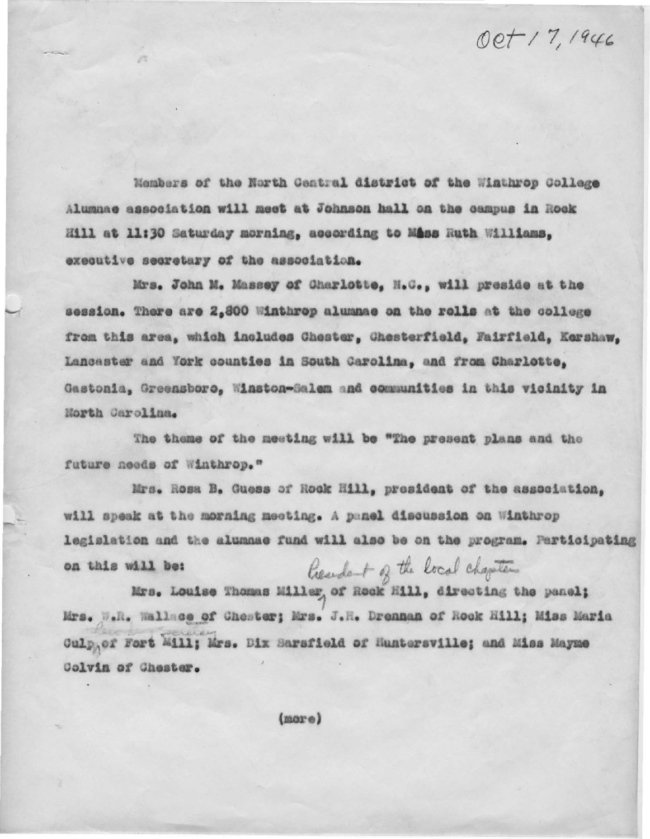## Oct 17, 1946

Members of the North Central district of the Winthrop College Alumnae association will meet at Johnson hall on the campus in Rock Hill at 11:30 Saturday morning, according to Mass Ruth Williams, executive secretary of the association.

Mrs. John M. Massey of Charlotte, N.C., will preside at the session. There are 2,800 Winthrop alumnae on the rolls at the college from this area, which includes Chester, Chesterfield, Fairfield, Kershaw, Lancaster and York counties in South Carolina, and from Charlotte, Gastonia, Greensboro, Winston-Salem and communities in this vicinity in North Carolina.

The theme of the meeting will be "The present plans and the future needs of Winthrop."

Mrs. Rosa B. Guess of Rock Hill, president of the association, will speak at the morning meeting. A panel discussion on Winthrop legislation and the alumnae fund will also be on the program. Participating Resident of the local chapter on this will be:

Mrs. Louise Thomas Miller of Rock Mill, directing the panel; Mrs. W.R. Wallace of Choster; Mrs. J.R. Dronnan of Rook Hill; Miss Maria Culpgef Fort Mill; Mrs. Dix Sarsfield of Huntersville; and Miss Mayme Colvin of Chester.

 $(nor e)$